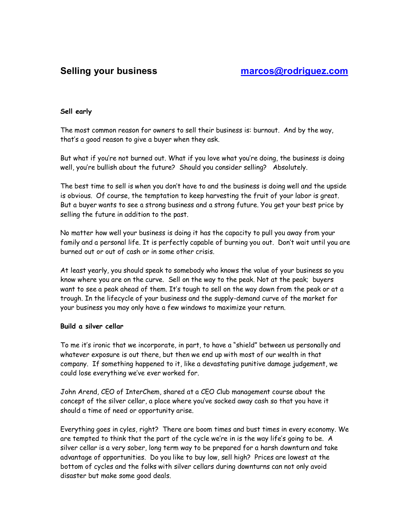# **Sell early**

The most common reason for owners to sell their business is: burnout. And by the way, that's a good reason to give a buyer when they ask.

But what if you're not burned out. What if you love what you're doing, the business is doing well, you're bullish about the future? Should you consider selling? Absolutely.

The best time to sell is when you don't have to and the business is doing well and the upside is obvious. Of course, the temptation to keep harvesting the fruit of your labor is great. But a buyer wants to see a strong business and a strong future. You get your best price by selling the future in addition to the past.

No matter how well your business is doing it has the capacity to pull you away from your family and a personal life. It is perfectly capable of burning you out. Don't wait until you are burned out or out of cash or in some other crisis.

At least yearly, you should speak to somebody who knows the value of your business so you know where you are on the curve. Sell on the way to the peak. Not at the peak; buyers want to see a peak ahead of them. It's tough to sell on the way down from the peak or at a trough. In the lifecycle of your business and the supply-demand curve of the market for your business you may only have a few windows to maximize your return.

## **Build a silver cellar**

To me it's ironic that we incorporate, in part, to have a "shield" between us personally and whatever exposure is out there, but then we end up with most of our wealth in that company. If something happened to it, like a devastating punitive damage judgement, we could lose everything we've ever worked for.

John Arend, CEO of InterChem, shared at a CEO Club management course about the concept of the silver cellar, a place where you've socked away cash so that you have it should a time of need or opportunity arise.

Everything goes in cyles, right? There are boom times and bust times in every economy. We are tempted to think that the part of the cycle we're in is the way life's going to be. A silver cellar is a very sober, long term way to be prepared for a harsh downturn and take advantage of opportunities. Do you like to buy low, sell high? Prices are lowest at the bottom of cycles and the folks with silver cellars during downturns can not only avoid disaster but make some good deals.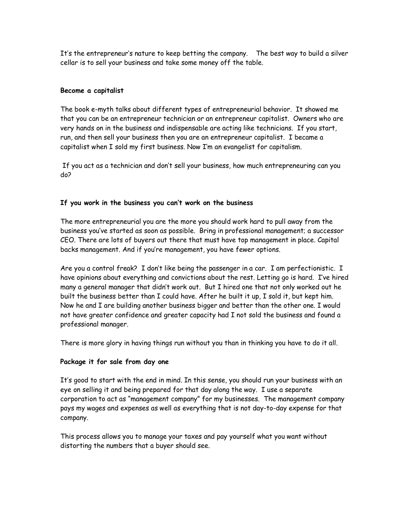It's the entrepreneur's nature to keep betting the company. The best way to build a silver cellar is to sell your business and take some money off the table.

# **Become a capitalist**

The book e-myth talks about different types of entrepreneurial behavior. It showed me that you can be an entrepreneur technician or an entrepreneur capitalist. Owners who are very hands on in the business and indispensable are acting like technicians. If you start, run, and then sell your business then you are an entrepreneur capitalist. I became a capitalist when I sold my first business. Now I'm an evangelist for capitalism.

If you act as a technician and don't sell your business, how much entrepreneuring can you do?

# **If you work in the business you can't work on the business**

The more entrepreneurial you are the more you should work hard to pull away from the business you've started as soon as possible. Bring in professional management; a successor CEO. There are lots of buyers out there that must have top management in place. Capital backs management. And if you're management, you have fewer options.

Are you a control freak? I don't like being the passenger in a car. I am perfectionistic. I have opinions about everything and convictions about the rest. Letting go is hard. I've hired many a general manager that didn't work out. But I hired one that not only worked out he built the business better than I could have. After he built it up, I sold it, but kept him. Now he and I are building another business bigger and better than the other one. I would not have greater confidence and greater capacity had I not sold the business and found a professional manager.

There is more glory in having things run without you than in thinking you have to do it all.

## **Package it for sale from day one**

It's good to start with the end in mind. In this sense, you should run your business with an eye on selling it and being prepared for that day along the way. I use a separate corporation to act as "management company" for my businesses. The management company pays my wages and expenses as well as everything that is not day-to-day expense for that company.

This process allows you to manage your taxes and pay yourself what you want without distorting the numbers that a buyer should see.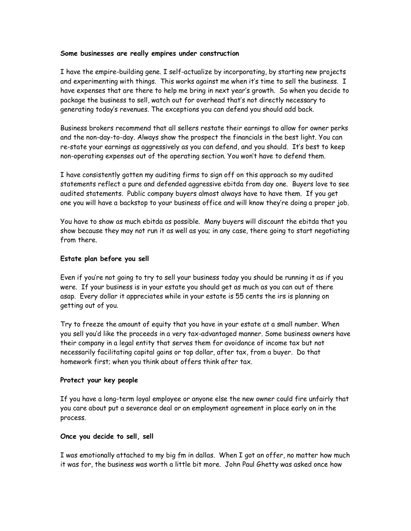#### **Some businesses are really empires under construction**

I have the empire-building gene. I self-actualize by incorporating, by starting new projects and experimenting with things. This works against me when it's time to sell the business. I have expenses that are there to help me bring in next year's growth. So when you decide to package the business to sell, watch out for overhead that's not directly necessary to generating today's revenues. The exceptions you can defend you should add back.

Business brokers recommend that all sellers restate their earnings to allow for owner perks and the non-day-to-day. Always show the prospect the financials in the best light. You can re-state your earnings as aggressively as you can defend, and you should. It's best to keep non-operating expenses out of the operating section. You won't have to defend them.

I have consistently gotten my auditing firms to sign off on this approach so my audited statements reflect a pure and defended aggressive ebitda from day one. Buyers love to see audited statements. Public company buyers almost always have to have them. If you get one you will have a backstop to your business office and will know they're doing a proper job.

You have to show as much ebitda as possible. Many buyers will discount the ebitda that you show because they may not run it as well as you; in any case, there going to start negotiating from there.

## **Estate plan before you sell**

Even if you're not going to try to sell your business today you should be running it as if you were. If your business is in your estate you should get as much as you can out of there asap. Every dollar it appreciates while in your estate is 55 cents the irs is planning on getting out of you.

Try to freeze the amount of equity that you have in your estate at a small number. When you sell you'd like the proceeds in a very tax-advantaged manner. Some business owners have their company in a legal entity that serves them for avoidance of income tax but not necessarily facilitating capital gains or top dollar, after tax, from a buyer. Do that homework first; when you think about offers think after tax.

## **Protect your key people**

If you have a long-term loyal employee or anyone else the new owner could fire unfairly that you care about put a severance deal or an employment agreement in place early on in the process.

## **Once you decide to sell, sell**

I was emotionally attached to my big fm in dallas. When I got an offer, no matter how much it was for, the business was worth a little bit more. John Paul Ghetty was asked once how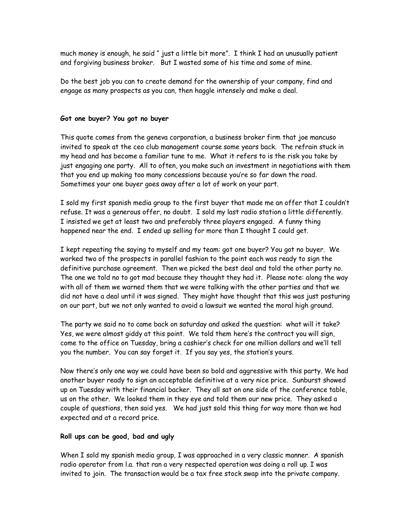much money is enough, he said " just a little bit more". I think I had an unusually patient and forgiving business broker. But I wasted some of his time and some of mine.

Do the best job you can to create demand for the ownership of your company, find and engage as many prospects as you can, then haggle intensely and make a deal.

#### **Got one buyer? You got no buyer**

This quote comes from the geneva corporation, a business broker firm that joe mancuso invited to speak at the ceo club management course some years back. The refrain stuck in my head and has become a familiar tune to me. What it refers to is the risk you take by just engaging one party. All to often, you make such an investment in negotiations with them that you end up making too many concessions because you're so far down the road. Sometimes your one buyer goes away after a lot of work on your part.

I sold my first spanish media group to the first buyer that made me an offer that I couldn't refuse. It was a generous offer, no doubt. I sold my last radio station a little differently. I insisted we get at least two and preferably three players engaged. A funny thing happened near the end. I ended up selling for more than I thought I could get.

I kept repeating the saying to myself and my team: got one buyer? You got no buyer. We worked two of the prospects in parallel fashion to the point each was ready to sign the definitive purchase agreement. Then we picked the best deal and told the other party no. The one we told no to got mad because they thought they had it. Please note: along the way with all of them we warned them that we were talking with the other parties and that we did not have a deal until it was signed. They might have thought that this was just posturing on our part, but we not only wanted to avoid a lawsuit we wanted the moral high ground.

The party we said no to came back on saturday and asked the question: what will it take? Yes, we were almost giddy at this point. We told them here's the contract you will sign, come to the office on Tuesday, bring a cashier's check for one million dollars and we'll tell you the number. You can say forget it. If you say yes, the station's yours.

Now there's only one way we could have been so bold and aggressive with this party. We had another buyer ready to sign an acceptable definitive at a very nice price. Sunburst showed up on Tuesday with their financial backer. They all sat on one side of the conference table, us on the other. We looked them in they eye and told them our new price. They asked a couple of questions, then said yes. We had just sold this thing for way more than we had expected and at a record price.

#### **Roll ups can be good, bad and ugly**

When I sold my spanish media group, I was approached in a very classic manner. A spanish radio operator from l.a. that ran a very respected operation was doing a roll up. I was invited to join. The transaction would be a tax free stock swap into the private company.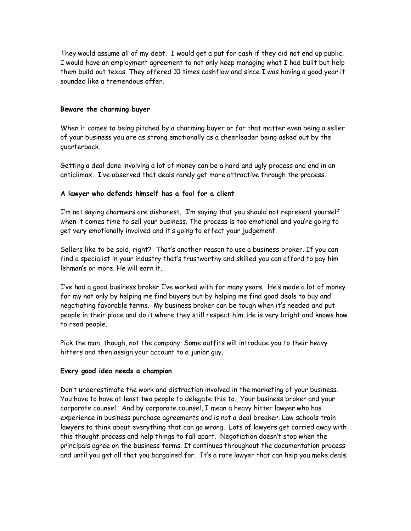They would assume all of my debt. I would get a put for cash if they did not end up public. I would have an employment agreement to not only keep managing what I had built but help them build out texas. They offered 10 times cashflow and since I was having a good year it sounded like a tremendous offer.

## **Beware the charming buyer**

When it comes to being pitched by a charming buyer or for that matter even being a seller of your business you are as strong emotionally as a cheerleader being asked out by the quarterback.

Getting a deal done involving a lot of money can be a hard and ugly process and end in an anticlimax. I've observed that deals rarely get more attractive through the process.

# **A lawyer who defends himself has a fool for a client**

I'm not saying charmers are dishonest. I'm saying that you should not represent yourself when it comes time to sell your business. The process is too emotional and you're going to get very emotionally involved and it's going to effect your judgement.

Sellers like to be sold, right? That's another reason to use a business broker. If you can find a specialist in your industry that's trustworthy and skilled you can afford to pay him lehman's or more. He will earn it.

I've had a good business broker I've worked with for many years. He's made a lot of money for my not only by helping me find buyers but by helping me find good deals to buy and negotiating favorable terms. My business broker can be tough when it's needed and put people in their place and do it where they still respect him. He is very bright and knows how to read people.

Pick the man, though, not the company. Some outfits will introduce you to their heavy hitters and then assign your account to a junior guy.

## **Every good idea needs a champion**

Don't underestimate the work and distraction involved in the marketing of your business. You have to have at least two people to delegate this to. Your business broker and your corporate counsel. And by corporate counsel, I mean a heavy hitter lawyer who has experience in business purchase agreements and is not a deal breaker. Law schools train lawyers to think about everything that can go wrong. Lots of lawyers get carried away with this thought process and help things to fall apart. Negotiation doesn't stop when the principals agree on the business terms. It continues throughout the documentation process and until you get all that you bargained for. It's a rare lawyer that can help you make deals.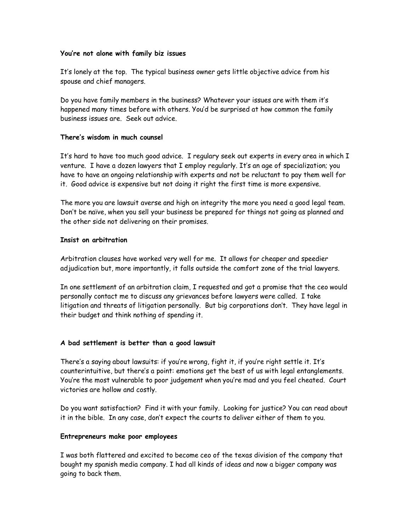## **You're not alone with family biz issues**

It's lonely at the top. The typical business owner gets little objective advice from his spouse and chief managers.

Do you have family members in the business? Whatever your issues are with them it's happened many times before with others. You'd be surprised at how common the family business issues are. Seek out advice.

#### **There's wisdom in much counsel**

It's hard to have too much good advice. I regulary seek out experts in every area in which I venture. I have a dozen lawyers that I employ regularly. It's an age of specialization; you have to have an ongoing relationship with experts and not be reluctant to pay them well for it. Good advice is expensive but not doing it right the first time is more expensive.

The more you are lawsuit averse and high on integrity the more you need a good legal team. Don't be naïve, when you sell your business be prepared for things not going as planned and the other side not delivering on their promises.

#### **Insist on arbitration**

Arbitration clauses have worked very well for me. It allows for cheaper and speedier adjudication but, more importantly, it falls outside the comfort zone of the trial lawyers.

In one settlement of an arbitration claim, I requested and got a promise that the ceo would personally contact me to discuss any grievances before lawyers were called. I take litigation and threats of litigation personally. But big corporations don't. They have legal in their budget and think nothing of spending it.

## **A bad settlement is better than a good lawsuit**

There's a saying about lawsuits: if you're wrong, fight it, if you're right settle it. It's counterintuitive, but there's a point: emotions get the best of us with legal entanglements. You're the most vulnerable to poor judgement when you're mad and you feel cheated. Court victories are hollow and costly.

Do you want satisfaction? Find it with your family. Looking for justice? You can read about it in the bible. In any case, don't expect the courts to deliver either of them to you.

#### **Entrepreneurs make poor employees**

I was both flattered and excited to become ceo of the texas division of the company that bought my spanish media company. I had all kinds of ideas and now a bigger company was going to back them.